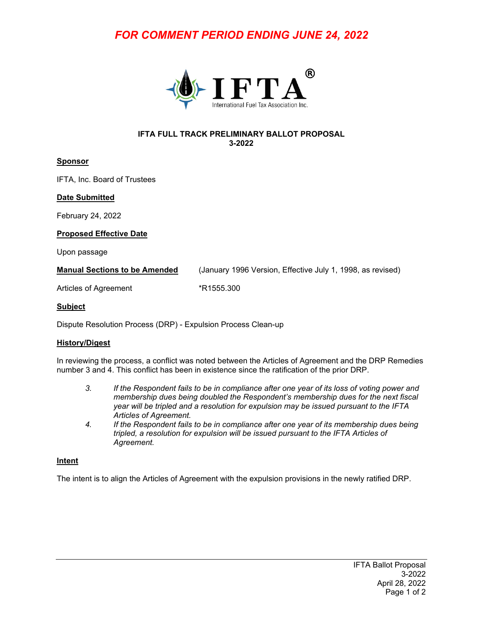# *FOR COMMENT PERIOD ENDING JUNE 24, 2022*



#### **IFTA FULL TRACK PRELIMINARY BALLOT PROPOSAL 3-2022**

# **Sponsor**

IFTA, Inc. Board of Trustees

## **Date Submitted**

February 24, 2022

#### **Proposed Effective Date**

Upon passage

**Manual Sections to be Amended** (January 1996 Version, Effective July 1, 1998, as revised)

Articles of Agreement \*R1555.300

#### **Subject**

Dispute Resolution Process (DRP) - Expulsion Process Clean-up

## **History/Digest**

In reviewing the process, a conflict was noted between the Articles of Agreement and the DRP Remedies number 3 and 4. This conflict has been in existence since the ratification of the prior DRP.

- *3. If the Respondent fails to be in compliance after one year of its loss of voting power and membership dues being doubled the Respondent's membership dues for the next fiscal year will be tripled and a resolution for expulsion may be issued pursuant to the IFTA Articles of Agreement.*
- *4. If the Respondent fails to be in compliance after one year of its membership dues being tripled, a resolution for expulsion will be issued pursuant to the IFTA Articles of Agreement.*

#### **Intent**

The intent is to align the Articles of Agreement with the expulsion provisions in the newly ratified DRP.